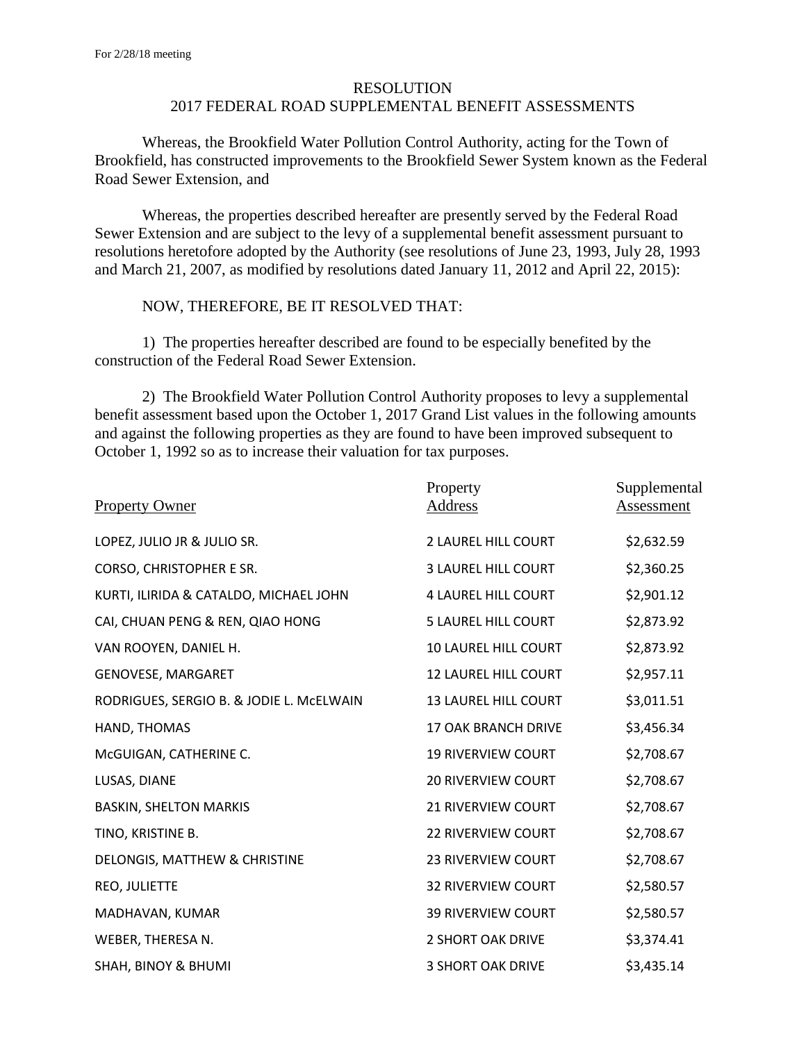## RESOLUTION 2017 FEDERAL ROAD SUPPLEMENTAL BENEFIT ASSESSMENTS

Whereas, the Brookfield Water Pollution Control Authority, acting for the Town of Brookfield, has constructed improvements to the Brookfield Sewer System known as the Federal Road Sewer Extension, and

Whereas, the properties described hereafter are presently served by the Federal Road Sewer Extension and are subject to the levy of a supplemental benefit assessment pursuant to resolutions heretofore adopted by the Authority (see resolutions of June 23, 1993, July 28, 1993 and March 21, 2007, as modified by resolutions dated January 11, 2012 and April 22, 2015):

## NOW, THEREFORE, BE IT RESOLVED THAT:

1) The properties hereafter described are found to be especially benefited by the construction of the Federal Road Sewer Extension.

2) The Brookfield Water Pollution Control Authority proposes to levy a supplemental benefit assessment based upon the October 1, 2017 Grand List values in the following amounts and against the following properties as they are found to have been improved subsequent to October 1, 1992 so as to increase their valuation for tax purposes.

| <b>Property Owner</b>                    | Property<br><b>Address</b>  | Supplemental<br><u>Assessment</u> |
|------------------------------------------|-----------------------------|-----------------------------------|
| LOPEZ, JULIO JR & JULIO SR.              | 2 LAUREL HILL COURT         | \$2,632.59                        |
| CORSO, CHRISTOPHER E SR.                 | <b>3 LAUREL HILL COURT</b>  | \$2,360.25                        |
| KURTI, ILIRIDA & CATALDO, MICHAEL JOHN   | <b>4 LAUREL HILL COURT</b>  | \$2,901.12                        |
| CAI, CHUAN PENG & REN, QIAO HONG         | <b>5 LAUREL HILL COURT</b>  | \$2,873.92                        |
| VAN ROOYEN, DANIEL H.                    | <b>10 LAUREL HILL COURT</b> | \$2,873.92                        |
| <b>GENOVESE, MARGARET</b>                | <b>12 LAUREL HILL COURT</b> | \$2,957.11                        |
| RODRIGUES, SERGIO B. & JODIE L. MCELWAIN | <b>13 LAUREL HILL COURT</b> | \$3,011.51                        |
| HAND, THOMAS                             | 17 OAK BRANCH DRIVE         | \$3,456.34                        |
| McGUIGAN, CATHERINE C.                   | <b>19 RIVERVIEW COURT</b>   | \$2,708.67                        |
| LUSAS, DIANE                             | <b>20 RIVERVIEW COURT</b>   | \$2,708.67                        |
| <b>BASKIN, SHELTON MARKIS</b>            | <b>21 RIVERVIEW COURT</b>   | \$2,708.67                        |
| TINO, KRISTINE B.                        | <b>22 RIVERVIEW COURT</b>   | \$2,708.67                        |
| DELONGIS, MATTHEW & CHRISTINE            | <b>23 RIVERVIEW COURT</b>   | \$2,708.67                        |
| REO, JULIETTE                            | <b>32 RIVERVIEW COURT</b>   | \$2,580.57                        |
| MADHAVAN, KUMAR                          | <b>39 RIVERVIEW COURT</b>   | \$2,580.57                        |
| WEBER, THERESA N.                        | 2 SHORT OAK DRIVE           | \$3,374.41                        |
| <b>SHAH, BINOY &amp; BHUMI</b>           | <b>3 SHORT OAK DRIVE</b>    | \$3,435.14                        |